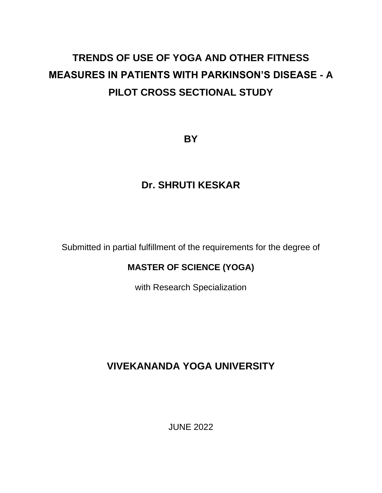# **TRENDS OF USE OF YOGA AND OTHER FITNESS MEASURES IN PATIENTS WITH PARKINSON'S DISEASE - A PILOT CROSS SECTIONAL STUDY**

**BY**

# **Dr. SHRUTI KESKAR**

Submitted in partial fulfillment of the requirements for the degree of

# **MASTER OF SCIENCE (YOGA)**

with Research Specialization

# **VIVEKANANDA YOGA UNIVERSITY**

JUNE 2022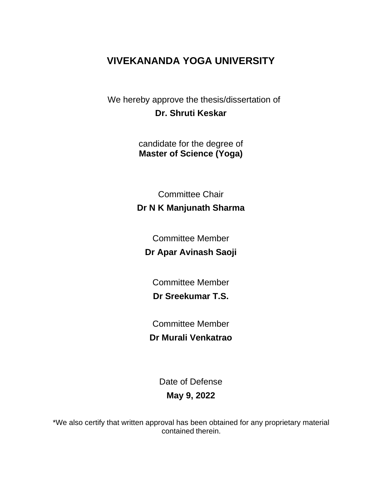# **VIVEKANANDA YOGA UNIVERSITY**

We hereby approve the thesis/dissertation of **Dr. Shruti Keskar** 

> candidate for the degree of **Master of Science (Yoga)**

Committee Chair **Dr N K Manjunath Sharma** 

Committee Member

**Dr Apar Avinash Saoji**

Committee Member **Dr Sreekumar T.S.** 

Committee Member **Dr Murali Venkatrao** 

> Date of Defense **May 9, 2022**

\*We also certify that written approval has been obtained for any proprietary material contained therein.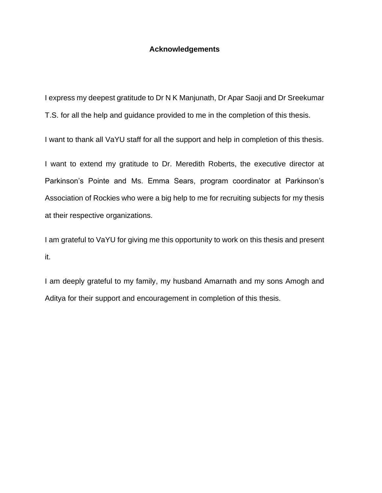#### **Acknowledgements**

I express my deepest gratitude to Dr N K Manjunath, Dr Apar Saoji and Dr Sreekumar T.S. for all the help and guidance provided to me in the completion of this thesis.

I want to thank all VaYU staff for all the support and help in completion of this thesis.

I want to extend my gratitude to Dr. Meredith Roberts, the executive director at Parkinson's Pointe and Ms. Emma Sears, program coordinator at Parkinson's Association of Rockies who were a big help to me for recruiting subjects for my thesis at their respective organizations.

I am grateful to VaYU for giving me this opportunity to work on this thesis and present it.

I am deeply grateful to my family, my husband Amarnath and my sons Amogh and Aditya for their support and encouragement in completion of this thesis.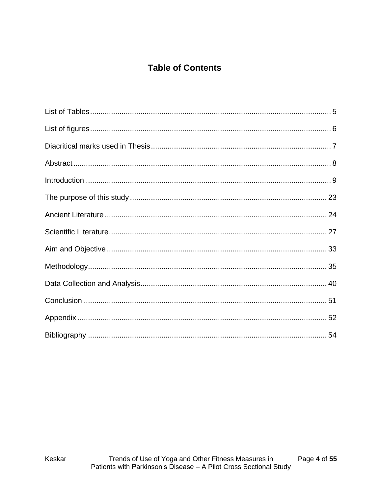# **Table of Contents**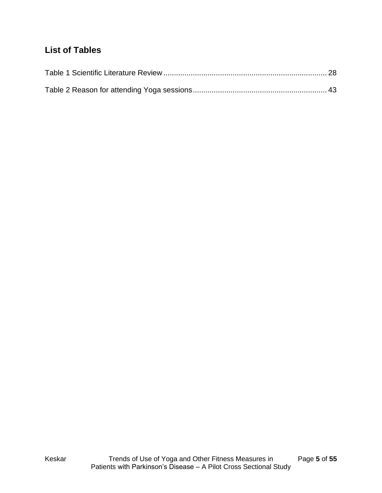# <span id="page-4-0"></span>**List of Tables**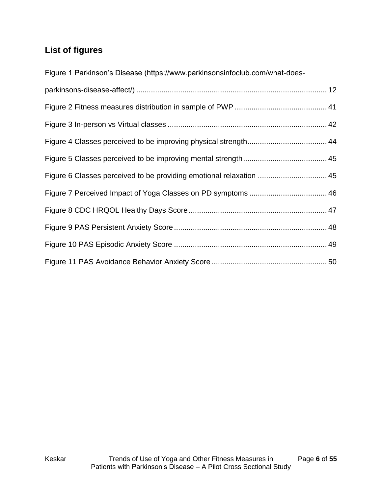# <span id="page-5-0"></span>**List of figures**

[Figure 1 Parkinson's Disease \(https://www.parkinsonsinfoclub.com/what-does-](#page-11-0)

| Figure 6 Classes perceived to be providing emotional relaxation  45 |  |
|---------------------------------------------------------------------|--|
|                                                                     |  |
|                                                                     |  |
|                                                                     |  |
|                                                                     |  |
|                                                                     |  |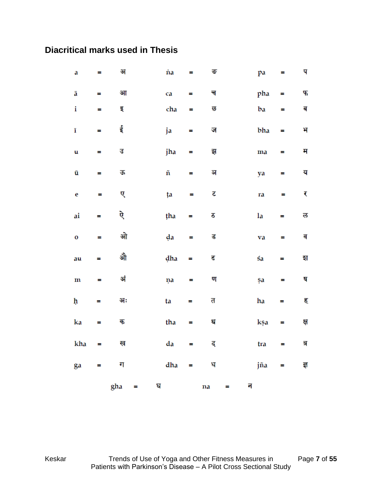# <span id="page-6-0"></span>**Diacritical marks used in Thesis**

|              |                | gha | Ξ | घ |     |          | na | न |     |          |     |
|--------------|----------------|-----|---|---|-----|----------|----|---|-----|----------|-----|
| ga           | Ξ              | ग   |   |   | dha | $\equiv$ | ध  |   | jña | Ξ        | ৱ   |
| kha          | ≡              | ख   |   |   | da  | Ξ        | द  |   | tra | Ξ        | त्र |
| ka           | Ξ              | क   |   |   | tha | Ξ        | थ  |   | kşa | Ξ        | क्ष |
| ķ            | =              | अः  |   |   | ta  | Ξ        | त  |   | ha  | Ξ        | ह   |
| $\mathbf m$  | Ξ              | अं  |   |   | ņa  | =        | ण  |   | şa  | Ξ        | ष   |
| au           | Ξ              | औ   |   |   | dha | Ξ        | ढ  |   | śa  | Ξ        | হা  |
| $\mathbf{o}$ | $\blacksquare$ | ओ   |   |   | da  | =        | ड  |   | va  | $\equiv$ | व   |
| ai           | =              | ऐ   |   |   | tha | Ξ        | ठ  |   | la  | =        | ल   |
| $\mathbf e$  | Ξ              | ए   |   |   | ţa  | =        | रु |   | ra  | $\equiv$ | ₹   |
| ū            | Ξ              | क   |   |   | ñ   | Ξ        | ञ  |   | ya  | Ξ        | य   |
| u            | $\equiv$       | उ   |   |   | jha | =        | झु |   | ma  | =        | म   |
| ī            | Ξ              | ई   |   |   | ja  | Ξ        | ज  |   | bha | $\equiv$ | भ   |
| i            | Ξ              | इ   |   |   | cha | Ξ        | छ  |   | ba  | =        | ब   |
| ā            | Ξ              | आ   |   |   | ca  | Ξ        | च  |   | pha | Ξ,       | 45  |
| a            | Ξ              | अ   |   |   | 'na | Ξ        | ভ  |   | pa  | =        | प   |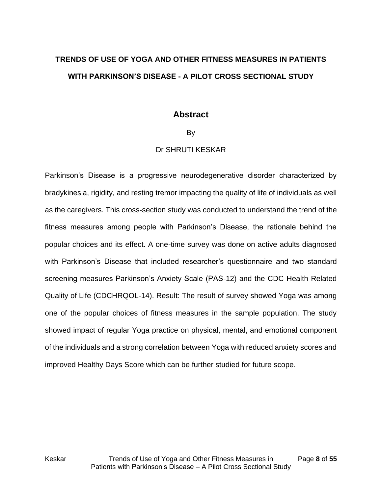# <span id="page-7-0"></span>**TRENDS OF USE OF YOGA AND OTHER FITNESS MEASURES IN PATIENTS WITH PARKINSON'S DISEASE - A PILOT CROSS SECTIONAL STUDY**

## **Abstract**

#### By

#### Dr SHRUTI KESKAR

Parkinson's Disease is a progressive neurodegenerative disorder characterized by bradykinesia, rigidity, and resting tremor impacting the quality of life of individuals as well as the caregivers. This cross-section study was conducted to understand the trend of the fitness measures among people with Parkinson's Disease, the rationale behind the popular choices and its effect. A one-time survey was done on active adults diagnosed with Parkinson's Disease that included researcher's questionnaire and two standard screening measures Parkinson's Anxiety Scale (PAS-12) and the CDC Health Related Quality of Life (CDCHRQOL-14). Result: The result of survey showed Yoga was among one of the popular choices of fitness measures in the sample population. The study showed impact of regular Yoga practice on physical, mental, and emotional component of the individuals and a strong correlation between Yoga with reduced anxiety scores and improved Healthy Days Score which can be further studied for future scope.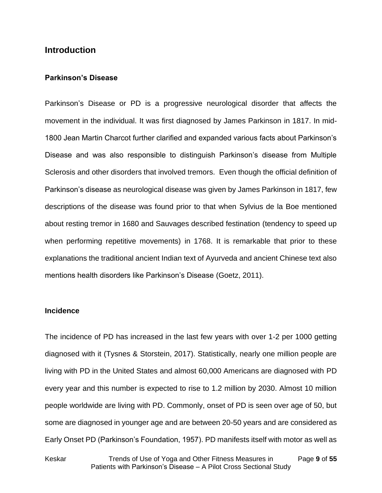## <span id="page-8-0"></span>**Introduction**

#### **Parkinson's Disease**

Parkinson's Disease or PD is a progressive neurological disorder that affects the movement in the individual. It was first diagnosed by James Parkinson in 1817. In mid-1800 Jean Martin Charcot further clarified and expanded various facts about Parkinson's Disease and was also responsible to distinguish Parkinson's disease from Multiple Sclerosis and other disorders that involved tremors. Even though the official definition of Parkinson's disease as neurological disease was given by James Parkinson in 1817, few descriptions of the disease was found prior to that when Sylvius de la Boe mentioned about resting tremor in 1680 and Sauvages described festination (tendency to speed up when performing repetitive movements) in 1768. It is remarkable that prior to these explanations the traditional ancient Indian text of Ayurveda and ancient Chinese text also mentions health disorders like Parkinson's Disease (Goetz, 2011).

#### **Incidence**

The incidence of PD has increased in the last few years with over 1-2 per 1000 getting diagnosed with it (Tysnes & Storstein, 2017). Statistically, nearly one million people are living with PD in the United States and almost 60,000 Americans are diagnosed with PD every year and this number is expected to rise to 1.2 million by 2030. Almost 10 million people worldwide are living with PD. Commonly, onset of PD is seen over age of 50, but some are diagnosed in younger age and are between 20-50 years and are considered as Early Onset PD (Parkinson's Foundation, 1957). PD manifests itself with motor as well as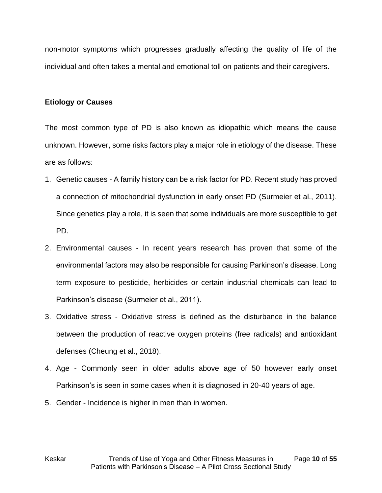non-motor symptoms which progresses gradually affecting the quality of life of the individual and often takes a mental and emotional toll on patients and their caregivers.

#### **Etiology or Causes**

The most common type of PD is also known as idiopathic which means the cause unknown. However, some risks factors play a major role in etiology of the disease. These are as follows:

- 1. Genetic causes A family history can be a risk factor for PD. Recent study has proved a connection of mitochondrial dysfunction in early onset PD (Surmeier et al., 2011). Since genetics play a role, it is seen that some individuals are more susceptible to get PD.
- 2. Environmental causes In recent years research has proven that some of the environmental factors may also be responsible for causing Parkinson's disease. Long term exposure to pesticide, herbicides or certain industrial chemicals can lead to Parkinson's disease (Surmeier et al., 2011).
- 3. Oxidative stress Oxidative stress is defined as the disturbance in the balance between the production of reactive oxygen proteins (free radicals) and antioxidant defenses (Cheung et al., 2018).
- 4. Age Commonly seen in older adults above age of 50 however early onset Parkinson's is seen in some cases when it is diagnosed in 20-40 years of age.
- 5. Gender Incidence is higher in men than in women.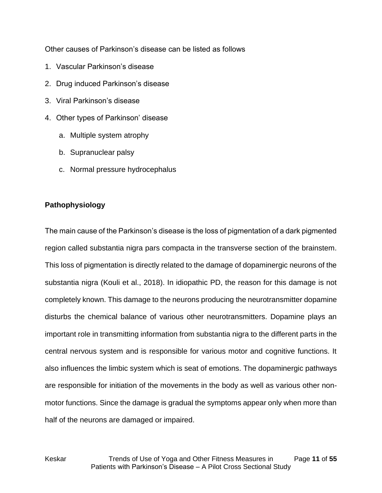Other causes of Parkinson's disease can be listed as follows

- 1. Vascular Parkinson's disease
- 2. Drug induced Parkinson's disease
- 3. Viral Parkinson's disease
- 4. Other types of Parkinson' disease
	- a. Multiple system atrophy
	- b. Supranuclear palsy
	- c. Normal pressure hydrocephalus

#### **Pathophysiology**

The main cause of the Parkinson's disease is the loss of pigmentation of a dark pigmented region called substantia nigra pars compacta in the transverse section of the brainstem. This loss of pigmentation is directly related to the damage of dopaminergic neurons of the substantia nigra (Kouli et al., 2018). In idiopathic PD, the reason for this damage is not completely known. This damage to the neurons producing the neurotransmitter dopamine disturbs the chemical balance of various other neurotransmitters. Dopamine plays an important role in transmitting information from substantia nigra to the different parts in the central nervous system and is responsible for various motor and cognitive functions. It also influences the limbic system which is seat of emotions. The dopaminergic pathways are responsible for initiation of the movements in the body as well as various other nonmotor functions. Since the damage is gradual the symptoms appear only when more than half of the neurons are damaged or impaired.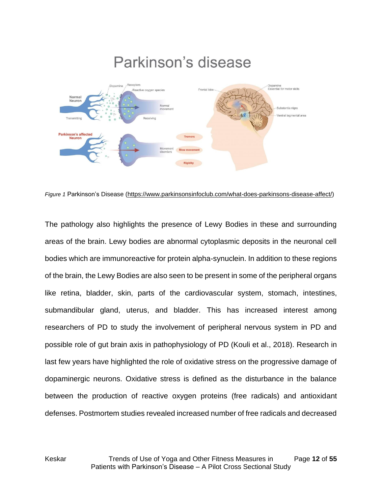

<span id="page-11-0"></span>*Figure 1* Parkinson's Disease [\(https://www.parkinsonsinfoclub.com/what-does-parkinsons-disease-affect/\)](https://www.parkinsonsinfoclub.com/what-does-parkinsons-disease-affect/)

The pathology also highlights the presence of Lewy Bodies in these and surrounding areas of the brain. Lewy bodies are abnormal cytoplasmic deposits in the neuronal cell bodies which are immunoreactive for protein alpha-synuclein. In addition to these regions of the brain, the Lewy Bodies are also seen to be present in some of the peripheral organs like retina, bladder, skin, parts of the cardiovascular system, stomach, intestines, submandibular gland, uterus, and bladder. This has increased interest among researchers of PD to study the involvement of peripheral nervous system in PD and possible role of gut brain axis in pathophysiology of PD (Kouli et al., 2018). Research in last few years have highlighted the role of oxidative stress on the progressive damage of dopaminergic neurons. Oxidative stress is defined as the disturbance in the balance between the production of reactive oxygen proteins (free radicals) and antioxidant defenses. Postmortem studies revealed increased number of free radicals and decreased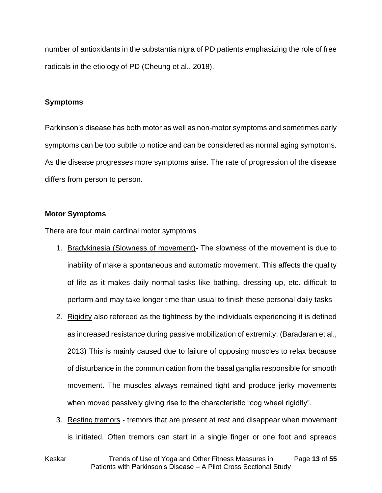number of antioxidants in the substantia nigra of PD patients emphasizing the role of free radicals in the etiology of PD (Cheung et al., 2018).

#### **Symptoms**

Parkinson's disease has both motor as well as non-motor symptoms and sometimes early symptoms can be too subtle to notice and can be considered as normal aging symptoms. As the disease progresses more symptoms arise. The rate of progression of the disease differs from person to person.

#### **Motor Symptoms**

There are four main cardinal motor symptoms

- 1. Bradykinesia (Slowness of movement)- The slowness of the movement is due to inability of make a spontaneous and automatic movement. This affects the quality of life as it makes daily normal tasks like bathing, dressing up, etc. difficult to perform and may take longer time than usual to finish these personal daily tasks
- 2. Rigidity also refereed as the tightness by the individuals experiencing it is defined as increased resistance during passive mobilization of extremity. (Baradaran et al., 2013) This is mainly caused due to failure of opposing muscles to relax because of disturbance in the communication from the basal ganglia responsible for smooth movement. The muscles always remained tight and produce jerky movements when moved passively giving rise to the characteristic "cog wheel rigidity".
- 3. Resting tremors tremors that are present at rest and disappear when movement is initiated. Often tremors can start in a single finger or one foot and spreads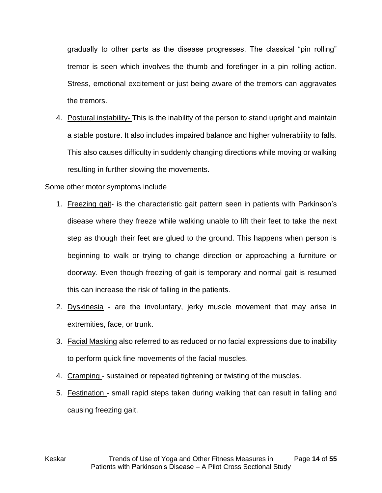gradually to other parts as the disease progresses. The classical "pin rolling" tremor is seen which involves the thumb and forefinger in a pin rolling action. Stress, emotional excitement or just being aware of the tremors can aggravates the tremors.

4. Postural instability- This is the inability of the person to stand upright and maintain a stable posture. It also includes impaired balance and higher vulnerability to falls. This also causes difficulty in suddenly changing directions while moving or walking resulting in further slowing the movements.

#### Some other motor symptoms include

- 1. Freezing gait- is the characteristic gait pattern seen in patients with Parkinson's disease where they freeze while walking unable to lift their feet to take the next step as though their feet are glued to the ground. This happens when person is beginning to walk or trying to change direction or approaching a furniture or doorway. Even though freezing of gait is temporary and normal gait is resumed this can increase the risk of falling in the patients.
- 2. Dyskinesia are the involuntary, jerky muscle movement that may arise in extremities, face, or trunk.
- 3. Facial Masking also referred to as reduced or no facial expressions due to inability to perform quick fine movements of the facial muscles.
- 4. Cramping sustained or repeated tightening or twisting of the muscles.
- 5. Festination small rapid steps taken during walking that can result in falling and causing freezing gait.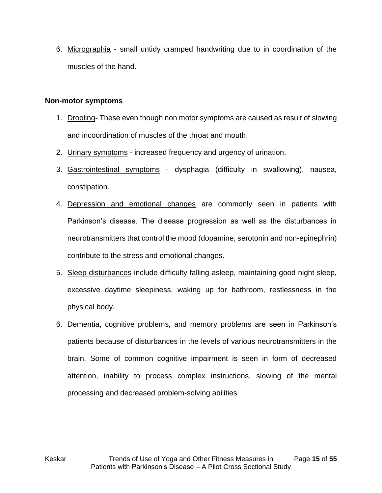6. Micrographia - small untidy cramped handwriting due to in coordination of the muscles of the hand.

#### **Non-motor symptoms**

- 1. Drooling- These even though non motor symptoms are caused as result of slowing and incoordination of muscles of the throat and mouth.
- 2. Urinary symptoms increased frequency and urgency of urination.
- 3. Gastrointestinal symptoms dysphagia (difficulty in swallowing), nausea, constipation.
- 4. Depression and emotional changes are commonly seen in patients with Parkinson's disease. The disease progression as well as the disturbances in neurotransmitters that control the mood (dopamine, serotonin and non-epinephrin) contribute to the stress and emotional changes.
- 5. Sleep disturbances include difficulty falling asleep, maintaining good night sleep, excessive daytime sleepiness, waking up for bathroom, restlessness in the physical body.
- 6. Dementia, cognitive problems, and memory problems are seen in Parkinson's patients because of disturbances in the levels of various neurotransmitters in the brain. Some of common cognitive impairment is seen in form of decreased attention, inability to process complex instructions, slowing of the mental processing and decreased problem-solving abilities.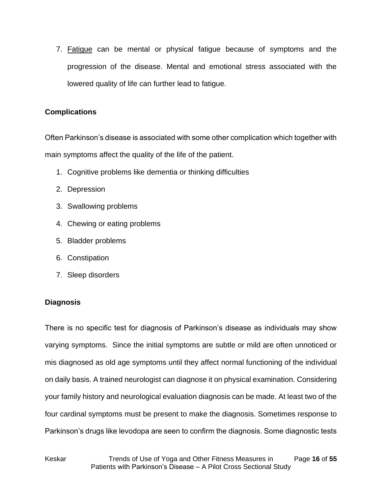7. Fatigue can be mental or physical fatigue because of symptoms and the progression of the disease. Mental and emotional stress associated with the lowered quality of life can further lead to fatigue.

#### **Complications**

Often Parkinson's disease is associated with some other complication which together with main symptoms affect the quality of the life of the patient.

- 1. Cognitive problems like dementia or thinking difficulties
- 2. Depression
- 3. Swallowing problems
- 4. Chewing or eating problems
- 5. Bladder problems
- 6. Constipation
- 7. Sleep disorders

## **Diagnosis**

There is no specific test for diagnosis of Parkinson's disease as individuals may show varying symptoms. Since the initial symptoms are subtle or mild are often unnoticed or mis diagnosed as old age symptoms until they affect normal functioning of the individual on daily basis. A trained neurologist can diagnose it on physical examination. Considering your family history and neurological evaluation diagnosis can be made. At least two of the four cardinal symptoms must be present to make the diagnosis. Sometimes response to Parkinson's drugs like levodopa are seen to confirm the diagnosis. Some diagnostic tests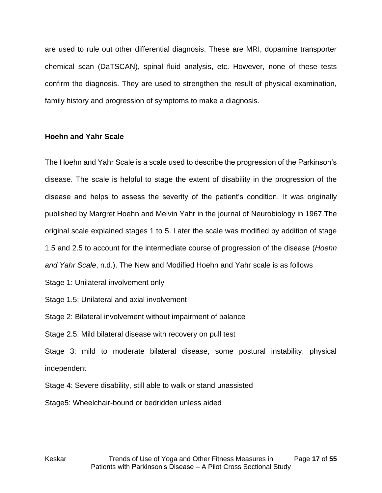are used to rule out other differential diagnosis. These are MRI, dopamine transporter chemical scan (DaTSCAN), spinal fluid analysis, etc. However, none of these tests confirm the diagnosis. They are used to strengthen the result of physical examination, family history and progression of symptoms to make a diagnosis.

#### **Hoehn and Yahr Scale**

The Hoehn and Yahr Scale is a scale used to describe the progression of the Parkinson's disease. The scale is helpful to stage the extent of disability in the progression of the disease and helps to assess the severity of the patient's condition. It was originally published by Margret Hoehn and Melvin Yahr in the journal of Neurobiology in 1967.The original scale explained stages 1 to 5. Later the scale was modified by addition of stage 1.5 and 2.5 to account for the intermediate course of progression of the disease (*Hoehn and Yahr Scale*, n.d.). The New and Modified Hoehn and Yahr scale is as follows

- Stage 1: Unilateral involvement only
- Stage 1.5: Unilateral and axial involvement

Stage 2: Bilateral involvement without impairment of balance

Stage 2.5: Mild bilateral disease with recovery on pull test

Stage 3: mild to moderate bilateral disease, some postural instability, physical independent

Stage 4: Severe disability, still able to walk or stand unassisted

Stage5: Wheelchair-bound or bedridden unless aided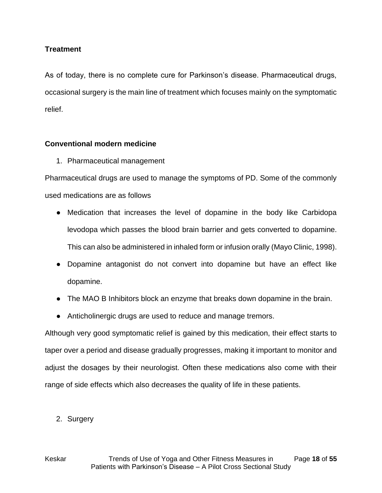#### **Treatment**

As of today, there is no complete cure for Parkinson's disease. Pharmaceutical drugs, occasional surgery is the main line of treatment which focuses mainly on the symptomatic relief.

#### **Conventional modern medicine**

1. Pharmaceutical management

Pharmaceutical drugs are used to manage the symptoms of PD. Some of the commonly used medications are as follows

- Medication that increases the level of dopamine in the body like Carbidopa levodopa which passes the blood brain barrier and gets converted to dopamine. This can also be administered in inhaled form or infusion orally (Mayo Clinic, 1998)[.](https://www.mayoclinic.org/diseases-conditions/parkinsons-disease/diagnosis-treatment/drc-20376062)
- Dopamine antagonist do not convert into dopamine but have an effect like dopamine.
- The MAO B Inhibitors block an enzyme that breaks down dopamine in the brain.
- Anticholinergic drugs are used to reduce and manage tremors.

Although very good symptomatic relief is gained by this medication, their effect starts to taper over a period and disease gradually progresses, making it important to monitor and adjust the dosages by their neurologist. Often these medications also come with their range of side effects which also decreases the quality of life in these patients.

2. Surgery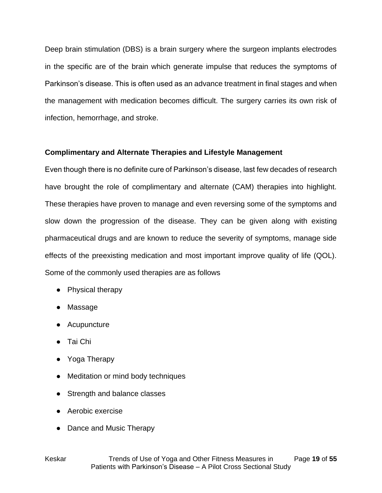Deep brain stimulation (DBS) is a brain surgery where the surgeon implants electrodes in the specific are of the brain which generate impulse that reduces the symptoms of Parkinson's disease. This is often used as an advance treatment in final stages and when the management with medication becomes difficult. The surgery carries its own risk of infection, hemorrhage, and stroke.

#### **Complimentary and Alternate Therapies and Lifestyle Management**

Even though there is no definite cure of Parkinson's disease, last few decades of research have brought the role of complimentary and alternate (CAM) therapies into highlight. These therapies have proven to manage and even reversing some of the symptoms and slow down the progression of the disease. They can be given along with existing pharmaceutical drugs and are known to reduce the severity of symptoms, manage side effects of the preexisting medication and most important improve quality of life (QOL). Some of the commonly used therapies are as follows

- Physical therapy
- Massage
- Acupuncture
- Tai Chi
- Yoga Therapy
- Meditation or mind body techniques
- Strength and balance classes
- Aerobic exercise
- Dance and Music Therapy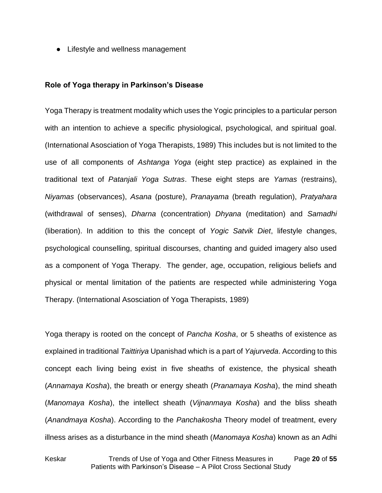• Lifestyle and wellness management

#### **Role of Yoga therapy in Parkinson's Disease**

Yoga Therapy is treatment modality which uses the Yogic principles to a particular person with an intention to achieve a specific physiological, psychological, and spiritual goal. (International Asosciation of Yoga Therapists, 1989) This includes but is not limited to the use of all components of *Ashtanga Yoga* (eight step practice) as explained in the traditional text of *Patanjali Yoga Sutras*. These eight steps are *Yamas* (restrains), *Niyamas* (observances), *Asana* (posture), *Pranayama* (breath regulation), *Pratyahara* (withdrawal of senses), *Dharna* (concentration) *Dhyana* (meditation) and *Samadhi* (liberation). In addition to this the concept of *Yogic Satvik Diet*, lifestyle changes, psychological counselling, spiritual discourses, chanting and guided imagery also used as a component of Yoga Therapy. The gender, age, occupation, religious beliefs and physical or mental limitation of the patients are respected while administering Yoga Therapy. (International Asosciation of Yoga Therapists, 1989)

Yoga therapy is rooted on the concept of *Pancha Kosha*, or 5 sheaths of existence as explained in traditional *Taittiriya* Upanishad which is a part of *Yajurveda*. According to this concept each living being exist in five sheaths of existence, the physical sheath (*Annamaya Kosha*), the breath or energy sheath (*Pranamaya Kosha*), the mind sheath (*Manomaya Kosha*), the intellect sheath (*Vijnanmaya Kosha*) and the bliss sheath (*Anandmaya Kosha*). According to the *Panchakosha* Theory model of treatment, every illness arises as a disturbance in the mind sheath (*Manomaya Kosha*) known as an Adhi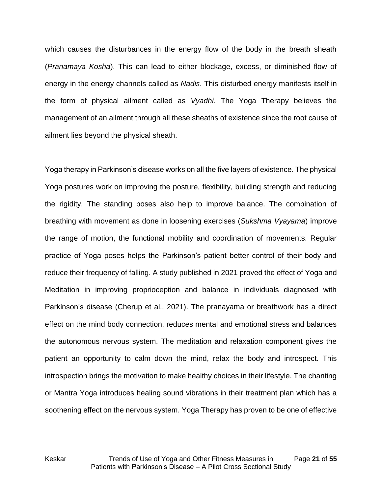which causes the disturbances in the energy flow of the body in the breath sheath (*Pranamaya Kosha*). This can lead to either blockage, excess, or diminished flow of energy in the energy channels called as *Nadis*. This disturbed energy manifests itself in the form of physical ailment called as *Vyadhi*. The Yoga Therapy believes the management of an ailment through all these sheaths of existence since the root cause of ailment lies beyond the physical sheath.

Yoga therapy in Parkinson's disease works on all the five layers of existence. The physical Yoga postures work on improving the posture, flexibility, building strength and reducing the rigidity. The standing poses also help to improve balance. The combination of breathing with movement as done in loosening exercises (*Sukshma Vyayama*) improve the range of motion, the functional mobility and coordination of movements. Regular practice of Yoga poses helps the Parkinson's patient better control of their body and reduce their frequency of falling. A study published in 2021 proved the effect of Yoga and Meditation in improving proprioception and balance in individuals diagnosed with Parkinson's disease (Cherup et al., 2021). The pranayama or breathwork has a direct effect on the mind body connection, reduces mental and emotional stress and balances the autonomous nervous system. The meditation and relaxation component gives the patient an opportunity to calm down the mind, relax the body and introspect. This introspection brings the motivation to make healthy choices in their lifestyle. The chanting or Mantra Yoga introduces healing sound vibrations in their treatment plan which has a soothening effect on the nervous system. Yoga Therapy has proven to be one of effective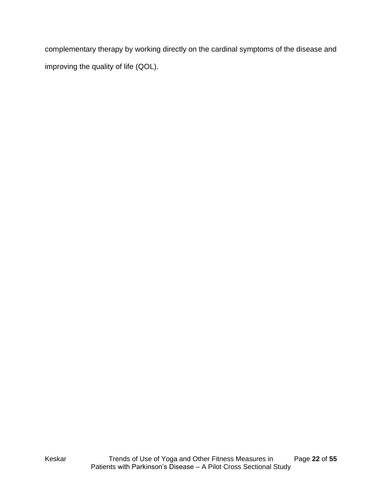complementary therapy by working directly on the cardinal symptoms of the disease and improving the quality of life (QOL).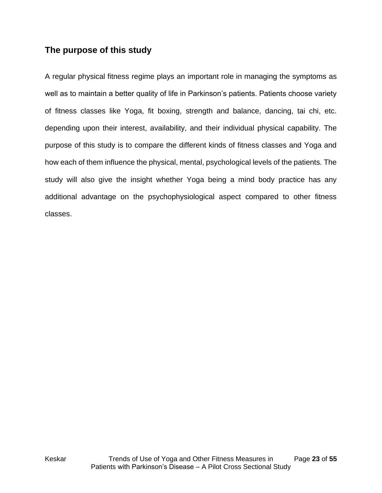# <span id="page-22-0"></span>**The purpose of this study**

A regular physical fitness regime plays an important role in managing the symptoms as well as to maintain a better quality of life in Parkinson's patients. Patients choose variety of fitness classes like Yoga, fit boxing, strength and balance, dancing, tai chi, etc. depending upon their interest, availability, and their individual physical capability. The purpose of this study is to compare the different kinds of fitness classes and Yoga and how each of them influence the physical, mental, psychological levels of the patients. The study will also give the insight whether Yoga being a mind body practice has any additional advantage on the psychophysiological aspect compared to other fitness classes.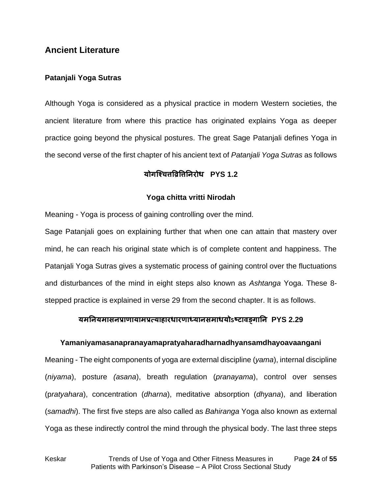## <span id="page-23-0"></span>**Ancient Literature**

#### **Patanjali Yoga Sutras**

Although Yoga is considered as a physical practice in modern Western societies, the ancient literature from where this practice has originated explains Yoga as deeper practice going beyond the physical postures. The great Sage Patanjali defines Yoga in the second verse of the first chapter of his ancient text of *Patanjali Yoga Sutras* as follows

#### **योगश्चित्तव्रिव्रत्तनिरोध PYS 1.2**

#### **Yoga chitta vritti Nirodah**

Meaning - Yoga is process of gaining controlling over the mind.

Sage Patanjali goes on explaining further that when one can attain that mastery over mind, he can reach his original state which is of complete content and happiness. The Patanjali Yoga Sutras gives a systematic process of gaining control over the fluctuations and disturbances of the mind in eight steps also known as *Ashtanga* Yoga. These 8 stepped practice is explained in verse 29 from the second chapter. It is as follows.

#### **यमनियमासिप्राणायामप्रत्याहारधारणाध्यािसमाधयोऽष्टावङ्गानि PYS 2.29**

#### **Yamaniyamasanapranayamapratyaharadharnadhyansamdhayoavaangani**

Meaning - The eight components of yoga are external discipline (*yama*), internal discipline (*niyama*), posture *(asana*), breath regulation (*pranayama*), control over senses (p*ratyahara*), concentration (*dharna*), meditative absorption (*dhyana*), and liberation (*samadhi*). The first five steps are also called as *Bahiranga* Yoga also known as external Yoga as these indirectly control the mind through the physical body. The last three steps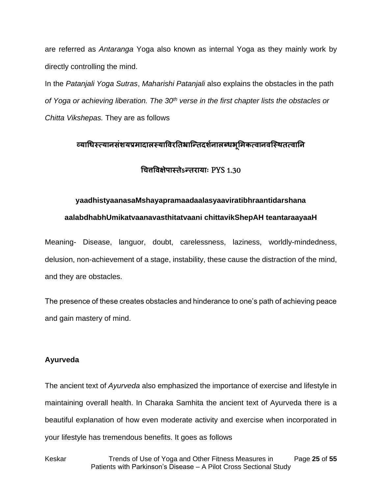are referred as *Antaranga* Yoga also known as internal Yoga as they mainly work by directly controlling the mind.

In the *Patanjali Yoga Sutras*, *Maharishi Patanjali* also explains the obstacles in the path *of Yoga or achieving liberation. The 30th verse in the first chapter lists the obstacles or Chitta Vikshepas.* They are as follows

## **व्याधधस्तत्यािसंशयप्रमादालस्तयाव्रवरनिभ्राश्तिदशिश ालब्धभूममकत्वािवश्स्तिित्वानि**

**धित्तव्रवक्षेपास्तिेऽतिरायााः** PYS 1.30

#### **yaadhistyaanasaMshayapramaadaalasyaaviratibhraantidarshana**

#### **aalabdhabhUmikatvaanavasthitatvaani chittavikShepAH teantaraayaaH**

Meaning- Disease, languor, doubt, carelessness, laziness, worldly-mindedness, delusion, non-achievement of a stage, instability, these cause the distraction of the mind, and they are obstacles.

The presence of these creates obstacles and hinderance to one's path of achieving peace and gain mastery of mind.

#### **Ayurveda**

The ancient text of *Ayurveda* also emphasized the importance of exercise and lifestyle in maintaining overall health. In Charaka Samhita the ancient text of Ayurveda there is a beautiful explanation of how even moderate activity and exercise when incorporated in your lifestyle has tremendous benefits. It goes as follows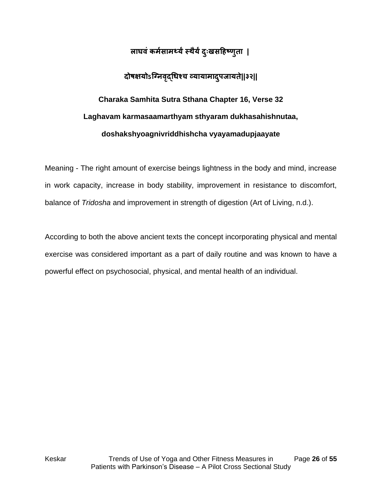# **लाघवंकमशसामर्थ्यंस्तिैयंदाःुखसहहष्णुिा |**

# **दोषक्षयोऽश्निवद्ृधधचि व्यायामादपुजायिे||३२||**

# **Charaka Samhita Sutra Sthana Chapter 16, Verse 32 Laghavam karmasaamarthyam sthyaram dukhasahishnutaa, doshakshyoagnivriddhishcha vyayamadupjaayate**

Meaning - The right amount of exercise beings lightness in the body and mind, increase in work capacity, increase in body stability, improvement in resistance to discomfort, balance of *Tridosha* and improvement in strength of digestion (Art of Living, n.d.).

According to both the above ancient texts the concept incorporating physical and mental exercise was considered important as a part of daily routine and was known to have a powerful effect on psychosocial, physical, and mental health of an individual.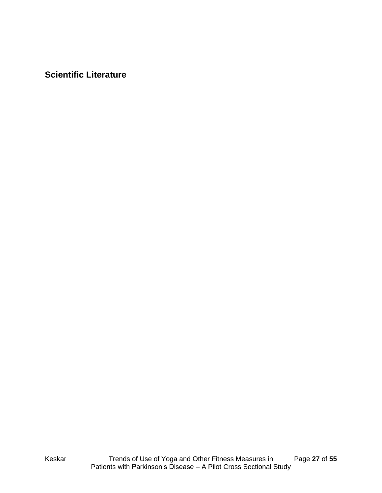<span id="page-26-0"></span>**Scientific Literature**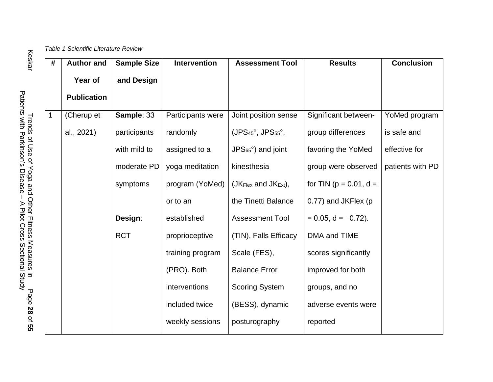<span id="page-27-0"></span>

| # | <b>Author and</b>  | <b>Sample Size</b> | <b>Intervention</b> | <b>Assessment Tool</b>                         | <b>Results</b>               | <b>Conclusion</b> |
|---|--------------------|--------------------|---------------------|------------------------------------------------|------------------------------|-------------------|
|   | Year of            | and Design         |                     |                                                |                              |                   |
|   | <b>Publication</b> |                    |                     |                                                |                              |                   |
|   |                    |                    |                     |                                                |                              |                   |
| 1 | (Cherup et         | Sample: 33         | Participants were   | Joint position sense                           | Significant between-         | YoMed program     |
|   | al., 2021)         | participants       | randomly            | $(JPS45°, JPS55°,$                             | group differences            | is safe and       |
|   |                    | with mild to       | assigned to a       | $JPS65°$ ) and joint                           | favoring the YoMed           | effective for     |
|   |                    | moderate PD        | yoga meditation     | kinesthesia                                    | group were observed          | patients with PD  |
|   |                    | symptoms           | program (YoMed)     | (J $K_{\text{Flex}}$ and J $K_{\text{Ext}}$ ), | for TIN ( $p = 0.01$ , $d =$ |                   |
|   |                    |                    | or to an            | the Tinetti Balance                            | 0.77) and JKFlex (p          |                   |
|   |                    | Design:            | established         | <b>Assessment Tool</b>                         | $= 0.05$ , d = -0.72).       |                   |
|   |                    | <b>RCT</b>         | proprioceptive      | (TIN), Falls Efficacy                          | DMA and TIME                 |                   |
|   |                    |                    | training program    | Scale (FES),                                   | scores significantly         |                   |
|   |                    |                    | (PRO). Both         | <b>Balance Error</b>                           | improved for both            |                   |
|   |                    |                    | interventions       | <b>Scoring System</b>                          | groups, and no               |                   |
|   |                    |                    | included twice      | (BESS), dynamic                                | adverse events were          |                   |
|   |                    |                    | weekly sessions     | posturography                                  | reported                     |                   |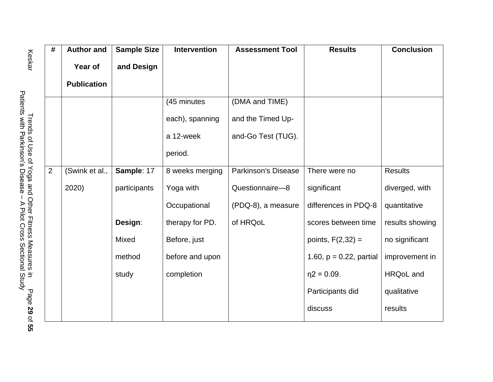| $\#$ | <b>Author and</b>  | <b>Sample Size</b> | <b>Intervention</b> | <b>Assessment Tool</b>     | <b>Results</b>             | <b>Conclusion</b> |
|------|--------------------|--------------------|---------------------|----------------------------|----------------------------|-------------------|
|      | Year of            | and Design         |                     |                            |                            |                   |
|      | <b>Publication</b> |                    |                     |                            |                            |                   |
|      |                    |                    | (45 minutes         | (DMA and TIME)             |                            |                   |
|      |                    |                    | each), spanning     | and the Timed Up-          |                            |                   |
|      |                    |                    | a 12-week           | and-Go Test (TUG).         |                            |                   |
|      |                    |                    | period.             |                            |                            |                   |
| 2    | (Swink et al.,     | Sample: 17         | 8 weeks merging     | <b>Parkinson's Disease</b> | There were no              | <b>Results</b>    |
|      | 2020)              | participants       | Yoga with           | Questionnaire-8            | significant                | diverged, with    |
|      |                    |                    | Occupational        | (PDQ-8), a measure         | differences in PDQ-8       | quantitative      |
|      |                    | Design:            | therapy for PD.     | of HRQoL                   | scores between time        | results showing   |
|      |                    | Mixed              | Before, just        |                            | points, $F(2,32) =$        | no significant    |
|      |                    | method             | before and upon     |                            | 1.60, $p = 0.22$ , partial | improvement in    |
|      |                    | study              | completion          |                            | $\eta$ 2 = 0.09.           | <b>HRQoL</b> and  |
|      |                    |                    |                     |                            | Participants did           | qualitative       |
|      |                    |                    |                     |                            | discuss                    | results           |

Keskar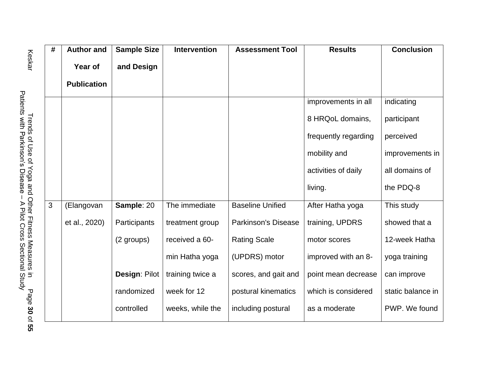| #              | <b>Author and</b>  | <b>Sample Size</b> | <b>Intervention</b> | <b>Assessment Tool</b>     | <b>Results</b>       | <b>Conclusion</b> |
|----------------|--------------------|--------------------|---------------------|----------------------------|----------------------|-------------------|
|                | Year of            | and Design         |                     |                            |                      |                   |
|                | <b>Publication</b> |                    |                     |                            |                      |                   |
|                |                    |                    |                     |                            | improvements in all  | indicating        |
|                |                    |                    |                     |                            | 8 HRQoL domains,     | participant       |
|                |                    |                    |                     |                            | frequently regarding | perceived         |
|                |                    |                    |                     |                            | mobility and         | improvements in   |
|                |                    |                    |                     |                            | activities of daily  | all domains of    |
|                |                    |                    |                     |                            | living.              | the PDQ-8         |
| $\mathfrak{S}$ | (Elangovan         | Sample: 20         | The immediate       | <b>Baseline Unified</b>    | After Hatha yoga     | This study        |
|                | et al., 2020)      | Participants       | treatment group     | <b>Parkinson's Disease</b> | training, UPDRS      | showed that a     |
|                |                    | (2 groups)         | received a 60-      | <b>Rating Scale</b>        | motor scores         | 12-week Hatha     |
|                |                    |                    | min Hatha yoga      | (UPDRS) motor              | improved with an 8-  | yoga training     |
|                |                    | Design: Pilot      | training twice a    | scores, and gait and       | point mean decrease  | can improve       |
|                |                    | randomized         | week for 12         | postural kinematics        | which is considered  | static balance in |
|                |                    | controlled         | weeks, while the    | including postural         | as a moderate        | PWP. We found     |

Keskar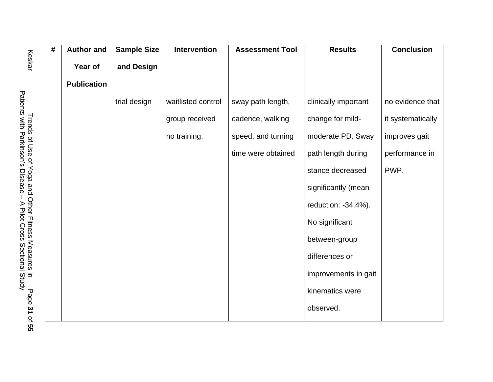| $\#$ | <b>Author and</b>  | <b>Sample Size</b> | <b>Intervention</b> | <b>Assessment Tool</b> | <b>Results</b>       | <b>Conclusion</b> |
|------|--------------------|--------------------|---------------------|------------------------|----------------------|-------------------|
|      | Year of            | and Design         |                     |                        |                      |                   |
|      | <b>Publication</b> |                    |                     |                        |                      |                   |
|      |                    | trial design       | waitlisted control  | sway path length,      | clinically important | no evidence that  |
|      |                    |                    | group received      | cadence, walking       | change for mild-     | it systematically |
|      |                    |                    | no training.        | speed, and turning     | moderate PD. Sway    | improves gait     |
|      |                    |                    |                     | time were obtained     | path length during   | performance in    |
|      |                    |                    |                     |                        | stance decreased     | PWP.              |
|      |                    |                    |                     |                        | significantly (mean  |                   |
|      |                    |                    |                     |                        | reduction: -34.4%).  |                   |
|      |                    |                    |                     |                        | No significant       |                   |
|      |                    |                    |                     |                        | between-group        |                   |
|      |                    |                    |                     |                        | differences or       |                   |
|      |                    |                    |                     |                        | improvements in gait |                   |
|      |                    |                    |                     |                        | kinematics were      |                   |
|      |                    |                    |                     |                        | observed.            |                   |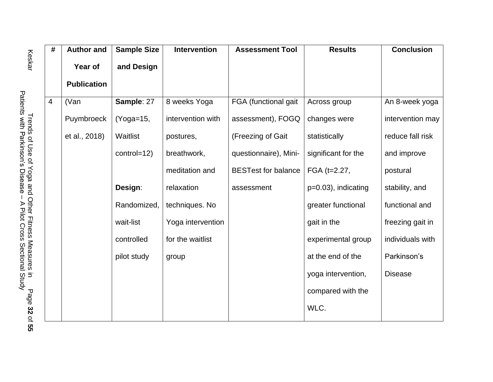| $\overline{\#}$ | <b>Author and</b>  | <b>Sample Size</b> | <b>Intervention</b> | <b>Assessment Tool</b>     | <b>Results</b>        | <b>Conclusion</b> |
|-----------------|--------------------|--------------------|---------------------|----------------------------|-----------------------|-------------------|
|                 | Year of            | and Design         |                     |                            |                       |                   |
|                 | <b>Publication</b> |                    |                     |                            |                       |                   |
| $\overline{4}$  | (Van               | Sample: 27         | 8 weeks Yoga        | FGA (functional gait       | Across group          | An 8-week yoga    |
|                 | Puymbroeck         | $(Yoga=15,$        | intervention with   | assessment), FOGQ          | changes were          | intervention may  |
|                 | et al., 2018)      | Waitlist           | postures,           | (Freezing of Gait          | statistically         | reduce fall risk  |
|                 |                    | control=12)        | breathwork,         | questionnaire), Mini-      | significant for the   | and improve       |
|                 |                    |                    | meditation and      | <b>BESTest for balance</b> | FGA (t=2.27,          | postural          |
|                 |                    | Design:            | relaxation          | assessment                 | $p=0.03$ , indicating | stability, and    |
|                 |                    | Randomized,        | techniques. No      |                            | greater functional    | functional and    |
|                 |                    | wait-list          | Yoga intervention   |                            | gait in the           | freezing gait in  |
|                 |                    | controlled         | for the waitlist    |                            | experimental group    | individuals with  |
|                 |                    | pilot study        | group               |                            | at the end of the     | Parkinson's       |
|                 |                    |                    |                     |                            | yoga intervention,    | <b>Disease</b>    |
|                 |                    |                    |                     |                            | compared with the     |                   |
|                 |                    |                    |                     |                            | WLC.                  |                   |

Keskar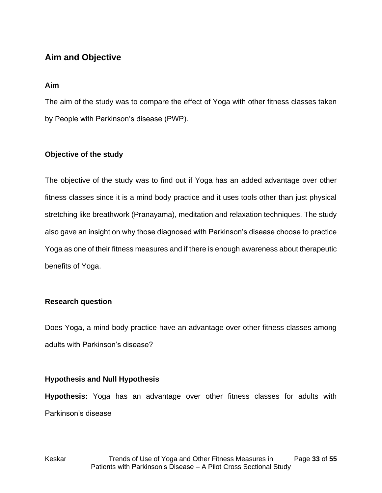# <span id="page-32-0"></span>**Aim and Objective**

#### **Aim**

The aim of the study was to compare the effect of Yoga with other fitness classes taken by People with Parkinson's disease (PWP).

#### **Objective of the study**

The objective of the study was to find out if Yoga has an added advantage over other fitness classes since it is a mind body practice and it uses tools other than just physical stretching like breathwork (Pranayama), meditation and relaxation techniques. The study also gave an insight on why those diagnosed with Parkinson's disease choose to practice Yoga as one of their fitness measures and if there is enough awareness about therapeutic benefits of Yoga.

#### **Research question**

Does Yoga, a mind body practice have an advantage over other fitness classes among adults with Parkinson's disease?

#### **Hypothesis and Null Hypothesis**

**Hypothesis:** Yoga has an advantage over other fitness classes for adults with Parkinson's disease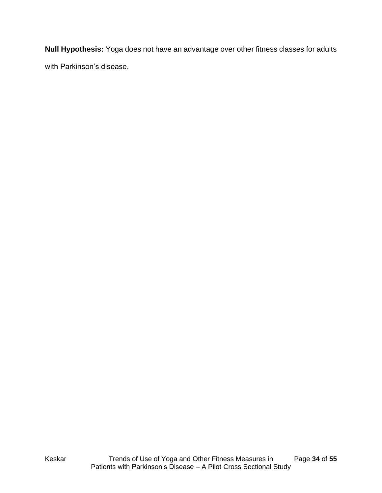**Null Hypothesis:** Yoga does not have an advantage over other fitness classes for adults with Parkinson's disease.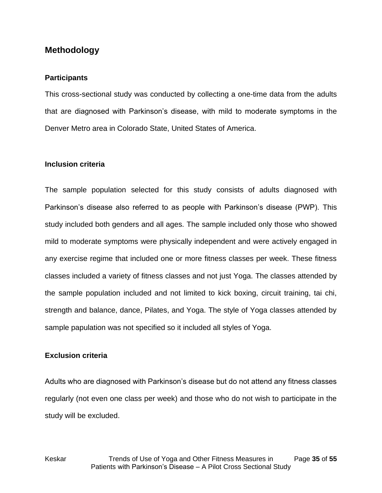## <span id="page-34-0"></span>**Methodology**

#### **Participants**

This cross-sectional study was conducted by collecting a one-time data from the adults that are diagnosed with Parkinson's disease, with mild to moderate symptoms in the Denver Metro area in Colorado State, United States of America.

#### **Inclusion criteria**

The sample population selected for this study consists of adults diagnosed with Parkinson's disease also referred to as people with Parkinson's disease (PWP). This study included both genders and all ages. The sample included only those who showed mild to moderate symptoms were physically independent and were actively engaged in any exercise regime that included one or more fitness classes per week. These fitness classes included a variety of fitness classes and not just Yoga. The classes attended by the sample population included and not limited to kick boxing, circuit training, tai chi, strength and balance, dance, Pilates, and Yoga. The style of Yoga classes attended by sample papulation was not specified so it included all styles of Yoga.

#### **Exclusion criteria**

Adults who are diagnosed with Parkinson's disease but do not attend any fitness classes regularly (not even one class per week) and those who do not wish to participate in the study will be excluded.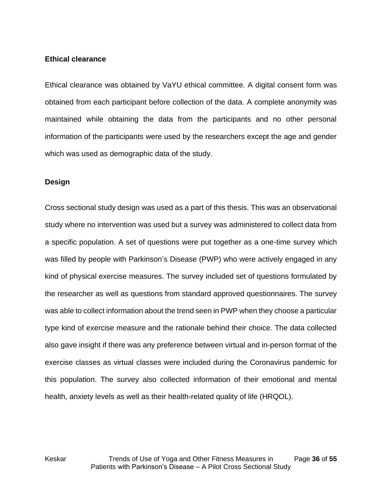#### **Ethical clearance**

Ethical clearance was obtained by VaYU ethical committee. A digital consent form was obtained from each participant before collection of the data. A complete anonymity was maintained while obtaining the data from the participants and no other personal information of the participants were used by the researchers except the age and gender which was used as demographic data of the study.

#### **Design**

Cross sectional study design was used as a part of this thesis. This was an observational study where no intervention was used but a survey was administered to collect data from a specific population. A set of questions were put together as a one-time survey which was filled by people with Parkinson's Disease (PWP) who were actively engaged in any kind of physical exercise measures. The survey included set of questions formulated by the researcher as well as questions from standard approved questionnaires. The survey was able to collect information about the trend seen in PWP when they choose a particular type kind of exercise measure and the rationale behind their choice. The data collected also gave insight if there was any preference between virtual and in-person format of the exercise classes as virtual classes were included during the Coronavirus pandemic for this population. The survey also collected information of their emotional and mental health, anxiety levels as well as their health-related quality of life (HRQOL).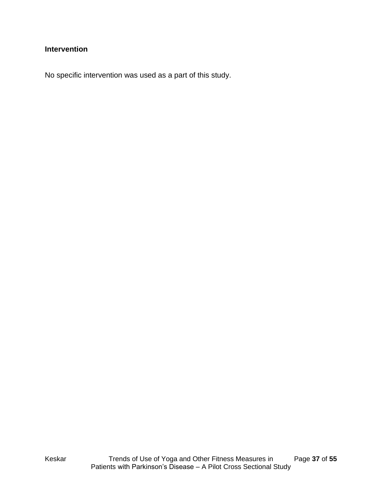## **Intervention**

No specific intervention was used as a part of this study.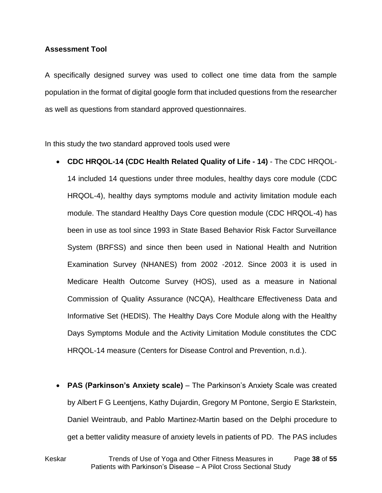#### **Assessment Tool**

A specifically designed survey was used to collect one time data from the sample population in the format of digital google form that included questions from the researcher as well as questions from standard approved questionnaires.

In this study the two standard approved tools used were

- **CDC HRQOL-14 (CDC Health Related Quality of Life - 14)** The CDC HRQOL-14 included 14 questions under three modules, healthy days core module (CDC HRQOL-4), healthy days symptoms module and activity limitation module each module. The standard Healthy Days Core question module (CDC HRQOL-4) has been in use as tool since 1993 in State Based Behavior Risk Factor Surveillance System (BRFSS) and since then been used in National Health and Nutrition Examination Survey (NHANES) from 2002 -2012. Since 2003 it is used in Medicare Health Outcome Survey (HOS), used as a measure in National Commission of Quality Assurance (NCQA), Healthcare Effectiveness Data and Informative Set (HEDIS). The Healthy Days Core Module along with the Healthy Days Symptoms Module and the Activity Limitation Module constitutes the CDC HRQOL-14 measure (Centers for Disease Control and Prevention, n.d.).
- **PAS (Parkinson's Anxiety scale)** The Parkinson's Anxiety Scale was created by Albert F G Leentjens, Kathy Dujardin, Gregory M Pontone, Sergio E Starkstein, Daniel Weintraub, and Pablo Martinez-Martin based on the Delphi procedure to get a better validity measure of anxiety levels in patients of PD. The PAS includes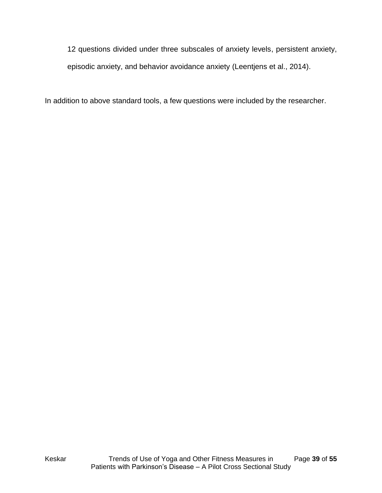12 questions divided under three subscales of anxiety levels, persistent anxiety, episodic anxiety, and behavior avoidance anxiety (Leentjens et al., 2014).

In addition to above standard tools, a few questions were included by the researcher.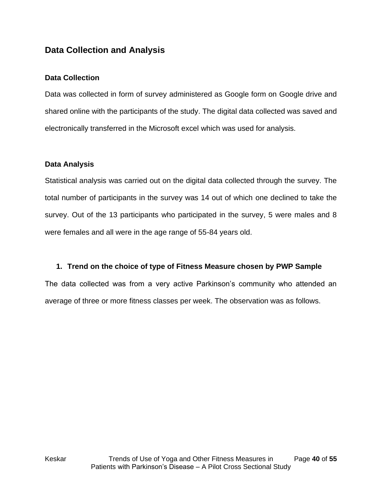# <span id="page-39-0"></span>**Data Collection and Analysis**

#### **Data Collection**

Data was collected in form of survey administered as Google form on Google drive and shared online with the participants of the study. The digital data collected was saved and electronically transferred in the Microsoft excel which was used for analysis.

#### **Data Analysis**

Statistical analysis was carried out on the digital data collected through the survey. The total number of participants in the survey was 14 out of which one declined to take the survey. Out of the 13 participants who participated in the survey, 5 were males and 8 were females and all were in the age range of 55-84 years old.

#### **1. Trend on the choice of type of Fitness Measure chosen by PWP Sample**

The data collected was from a very active Parkinson's community who attended an average of three or more fitness classes per week. The observation was as follows.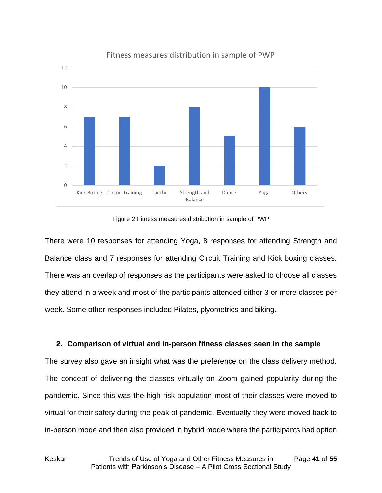

Figure 2 Fitness measures distribution in sample of PWP

<span id="page-40-0"></span>There were 10 responses for attending Yoga, 8 responses for attending Strength and Balance class and 7 responses for attending Circuit Training and Kick boxing classes. There was an overlap of responses as the participants were asked to choose all classes they attend in a week and most of the participants attended either 3 or more classes per week. Some other responses included Pilates, plyometrics and biking.

#### **2. Comparison of virtual and in-person fitness classes seen in the sample**

The survey also gave an insight what was the preference on the class delivery method. The concept of delivering the classes virtually on Zoom gained popularity during the pandemic. Since this was the high-risk population most of their classes were moved to virtual for their safety during the peak of pandemic. Eventually they were moved back to in-person mode and then also provided in hybrid mode where the participants had option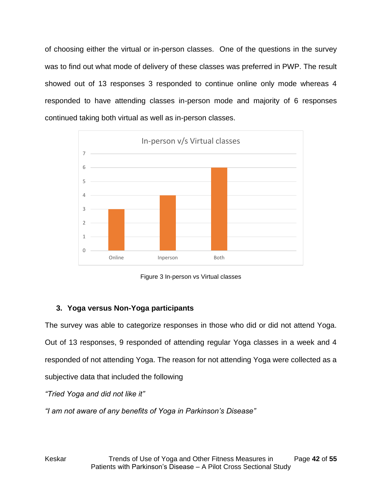of choosing either the virtual or in-person classes. One of the questions in the survey was to find out what mode of delivery of these classes was preferred in PWP. The result showed out of 13 responses 3 responded to continue online only mode whereas 4 responded to have attending classes in-person mode and majority of 6 responses continued taking both virtual as well as in-person classes.



Figure 3 In-person vs Virtual classes

## <span id="page-41-0"></span>**3. Yoga versus Non-Yoga participants**

The survey was able to categorize responses in those who did or did not attend Yoga. Out of 13 responses, 9 responded of attending regular Yoga classes in a week and 4 responded of not attending Yoga. The reason for not attending Yoga were collected as a subjective data that included the following

*"Tried Yoga and did not like it"*

*"I am not aware of any benefits of Yoga in Parkinson's Disease"*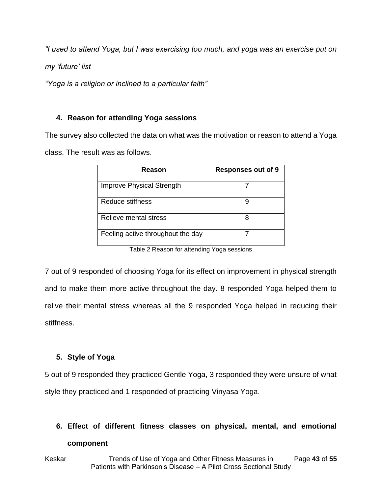*"I used to attend Yoga, but I was exercising too much, and yoga was an exercise put on* 

*my 'future' list*

*"Yoga is a religion or inclined to a particular faith"*

### **4. Reason for attending Yoga sessions**

The survey also collected the data on what was the motivation or reason to attend a Yoga class. The result was as follows.

| Reason                            | <b>Responses out of 9</b> |
|-----------------------------------|---------------------------|
| <b>Improve Physical Strength</b>  |                           |
| Reduce stiffness                  |                           |
| Relieve mental stress             |                           |
| Feeling active throughout the day |                           |

Table 2 Reason for attending Yoga sessions

<span id="page-42-0"></span>7 out of 9 responded of choosing Yoga for its effect on improvement in physical strength and to make them more active throughout the day. 8 responded Yoga helped them to relive their mental stress whereas all the 9 responded Yoga helped in reducing their stiffness.

## **5. Style of Yoga**

5 out of 9 responded they practiced Gentle Yoga, 3 responded they were unsure of what style they practiced and 1 responded of practicing Vinyasa Yoga.

#### **6. Effect of different fitness classes on physical, mental, and emotional**

#### **component**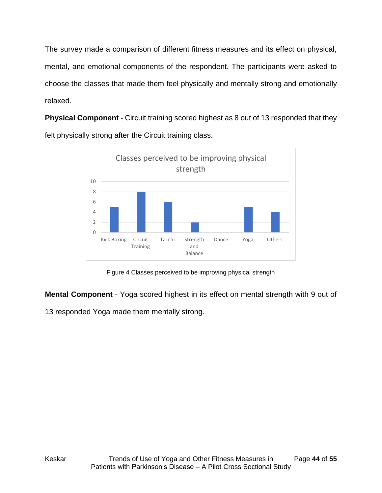The survey made a comparison of different fitness measures and its effect on physical, mental, and emotional components of the respondent. The participants were asked to choose the classes that made them feel physically and mentally strong and emotionally relaxed.

**Physical Component** - Circuit training scored highest as 8 out of 13 responded that they felt physically strong after the Circuit training class.



Figure 4 Classes perceived to be improving physical strength

<span id="page-43-0"></span>**Mental Component** - Yoga scored highest in its effect on mental strength with 9 out of

13 responded Yoga made them mentally strong.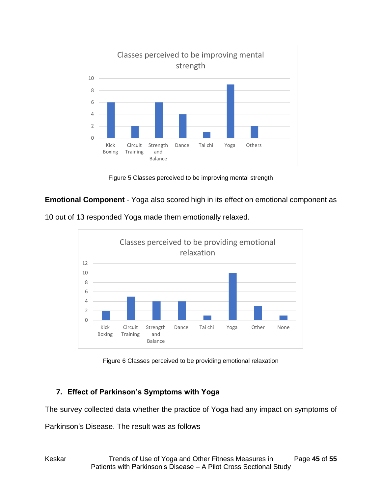

Figure 5 Classes perceived to be improving mental strength

<span id="page-44-0"></span>**Emotional Component** - Yoga also scored high in its effect on emotional component as

10 out of 13 responded Yoga made them emotionally relaxed.



Figure 6 Classes perceived to be providing emotional relaxation

## <span id="page-44-1"></span>**7. Effect of Parkinson's Symptoms with Yoga**

The survey collected data whether the practice of Yoga had any impact on symptoms of

Parkinson's Disease. The result was as follows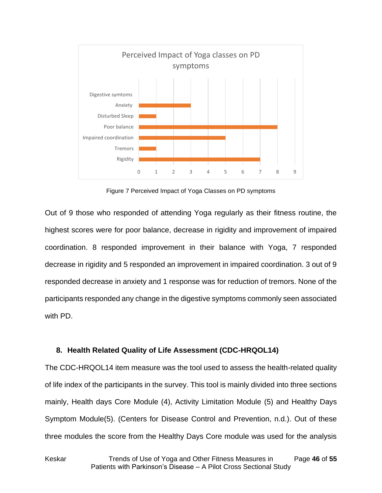

Figure 7 Perceived Impact of Yoga Classes on PD symptoms

<span id="page-45-0"></span>Out of 9 those who responded of attending Yoga regularly as their fitness routine, the highest scores were for poor balance, decrease in rigidity and improvement of impaired coordination. 8 responded improvement in their balance with Yoga, 7 responded decrease in rigidity and 5 responded an improvement in impaired coordination. 3 out of 9 responded decrease in anxiety and 1 response was for reduction of tremors. None of the participants responded any change in the digestive symptoms commonly seen associated with PD.

#### **8. Health Related Quality of Life Assessment (CDC-HRQOL14)**

The CDC-HRQOL14 item measure was the tool used to assess the health-related quality of life index of the participants in the survey. This tool is mainly divided into three sections mainly, Health days Core Module (4), Activity Limitation Module (5) and Healthy Days Symptom Module(5). (Centers for Disease Control and Prevention, n.d.). Out of these three modules the score from the Healthy Days Core module was used for the analysis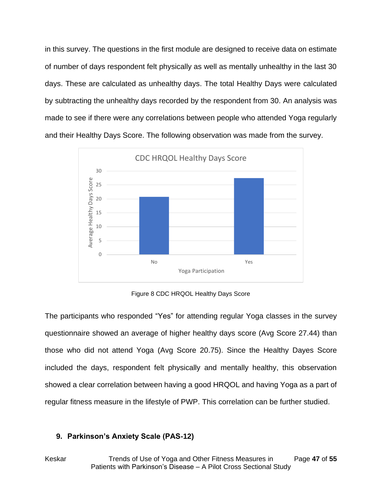in this survey. The questions in the first module are designed to receive data on estimate of number of days respondent felt physically as well as mentally unhealthy in the last 30 days. These are calculated as unhealthy days. The total Healthy Days were calculated by subtracting the unhealthy days recorded by the respondent from 30. An analysis was made to see if there were any correlations between people who attended Yoga regularly and their Healthy Days Score. The following observation was made from the survey.



Figure 8 CDC HRQOL Healthy Days Score

<span id="page-46-0"></span>The participants who responded "Yes" for attending regular Yoga classes in the survey questionnaire showed an average of higher healthy days score (Avg Score 27.44) than those who did not attend Yoga (Avg Score 20.75). Since the Healthy Dayes Score included the days, respondent felt physically and mentally healthy, this observation showed a clear correlation between having a good HRQOL and having Yoga as a part of regular fitness measure in the lifestyle of PWP. This correlation can be further studied.

#### **9. Parkinson's Anxiety Scale (PAS-12)**

Keskar Trends of Use of Yoga and Other Fitness Measures in Page **47** of **55** Patients with Parkinson's Disease – A Pilot Cross Sectional Study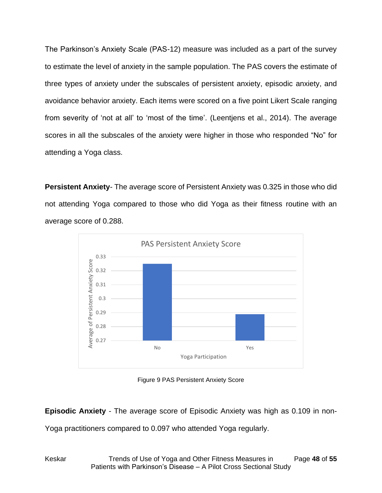The Parkinson's Anxiety Scale (PAS-12) measure was included as a part of the survey to estimate the level of anxiety in the sample population. The PAS covers the estimate of three types of anxiety under the subscales of persistent anxiety, episodic anxiety, and avoidance behavior anxiety. Each items were scored on a five point Likert Scale ranging from severity of 'not at all' to 'most of the time'. (Leentjens et al., 2014). The average scores in all the subscales of the anxiety were higher in those who responded "No" for attending a Yoga class.

**Persistent Anxiety**- The average score of Persistent Anxiety was 0.325 in those who did not attending Yoga compared to those who did Yoga as their fitness routine with an average score of 0.288.



Figure 9 PAS Persistent Anxiety Score

<span id="page-47-0"></span>**Episodic Anxiety** - The average score of Episodic Anxiety was high as 0.109 in non-

Yoga practitioners compared to 0.097 who attended Yoga regularly.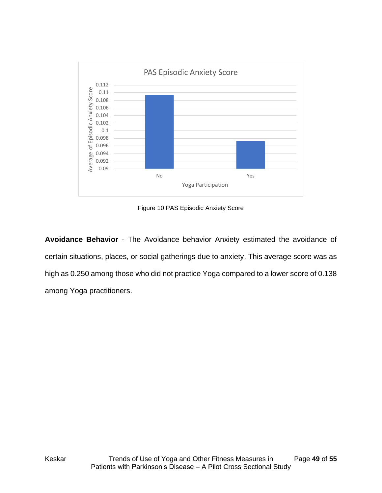

Figure 10 PAS Episodic Anxiety Score

<span id="page-48-0"></span>**Avoidance Behavior** - The Avoidance behavior Anxiety estimated the avoidance of certain situations, places, or social gatherings due to anxiety. This average score was as high as 0.250 among those who did not practice Yoga compared to a lower score of 0.138 among Yoga practitioners.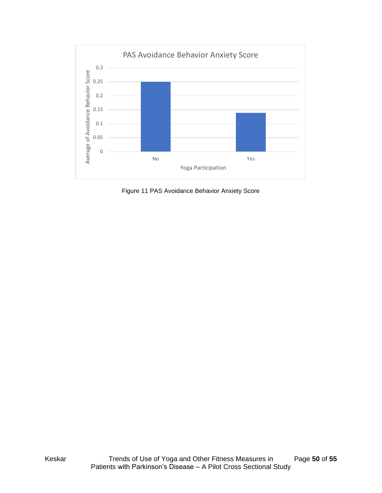

<span id="page-49-0"></span>Figure 11 PAS Avoidance Behavior Anxiety Score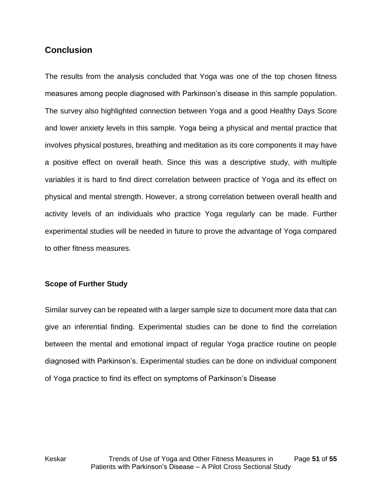## <span id="page-50-0"></span>**Conclusion**

The results from the analysis concluded that Yoga was one of the top chosen fitness measures among people diagnosed with Parkinson's disease in this sample population. The survey also highlighted connection between Yoga and a good Healthy Days Score and lower anxiety levels in this sample. Yoga being a physical and mental practice that involves physical postures, breathing and meditation as its core components it may have a positive effect on overall heath. Since this was a descriptive study, with multiple variables it is hard to find direct correlation between practice of Yoga and its effect on physical and mental strength. However, a strong correlation between overall health and activity levels of an individuals who practice Yoga regularly can be made. Further experimental studies will be needed in future to prove the advantage of Yoga compared to other fitness measures.

#### **Scope of Further Study**

Similar survey can be repeated with a larger sample size to document more data that can give an inferential finding. Experimental studies can be done to find the correlation between the mental and emotional impact of regular Yoga practice routine on people diagnosed with Parkinson's. Experimental studies can be done on individual component of Yoga practice to find its effect on symptoms of Parkinson's Disease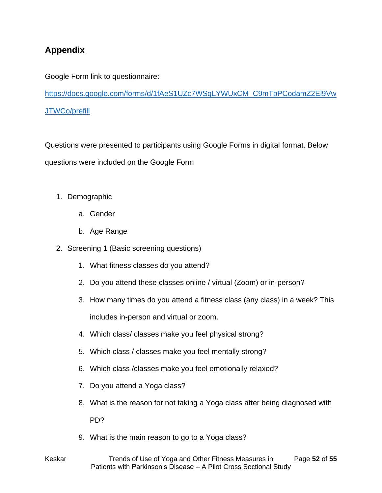# <span id="page-51-0"></span>**Appendix**

Google Form link to questionnaire:

[https://docs.google.com/forms/d/1fAeS1UZc7WSqLYWUxCM\\_C9mTbPCodamZ2El9Vw](https://docs.google.com/forms/d/1fAeS1UZc7WSqLYWUxCM_C9mTbPCodamZ2El9VwJTWCo/prefill) [JTWCo/prefill](https://docs.google.com/forms/d/1fAeS1UZc7WSqLYWUxCM_C9mTbPCodamZ2El9VwJTWCo/prefill)

Questions were presented to participants using Google Forms in digital format. Below questions were included on the Google Form

- 1. Demographic
	- a. Gender
	- b. Age Range
- 2. Screening 1 (Basic screening questions)
	- 1. What fitness classes do you attend?
	- 2. Do you attend these classes online / virtual (Zoom) or in-person?
	- 3. How many times do you attend a fitness class (any class) in a week? This includes in-person and virtual or zoom.
	- 4. Which class/ classes make you feel physical strong?
	- 5. Which class / classes make you feel mentally strong?
	- 6. Which class /classes make you feel emotionally relaxed?
	- 7. Do you attend a Yoga class?
	- 8. What is the reason for not taking a Yoga class after being diagnosed with PD?
	- 9. What is the main reason to go to a Yoga class?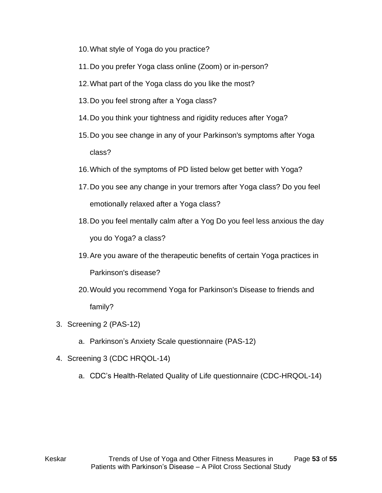- 10.What style of Yoga do you practice?
- 11.Do you prefer Yoga class online (Zoom) or in-person?
- 12.What part of the Yoga class do you like the most?
- 13.Do you feel strong after a Yoga class?
- 14.Do you think your tightness and rigidity reduces after Yoga?
- 15.Do you see change in any of your Parkinson's symptoms after Yoga class?
- 16.Which of the symptoms of PD listed below get better with Yoga?
- 17.Do you see any change in your tremors after Yoga class? Do you feel emotionally relaxed after a Yoga class?
- 18.Do you feel mentally calm after a Yog Do you feel less anxious the day you do Yoga? a class?
- 19.Are you aware of the therapeutic benefits of certain Yoga practices in Parkinson's disease?
- 20.Would you recommend Yoga for Parkinson's Disease to friends and family?
- 3. Screening 2 (PAS-12)
	- a. Parkinson's Anxiety Scale questionnaire (PAS-12)
- 4. Screening 3 (CDC HRQOL-14)
	- a. CDC's Health-Related Quality of Life questionnaire (CDC-HRQOL-14)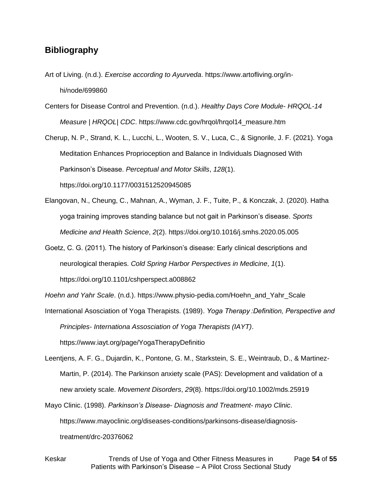#### <span id="page-53-0"></span>**Bibliography**

- Art of Living. (n.d.). *Exercise according to Ayurveda*. https://www.artofliving.org/inhi/node/699860
- Centers for Disease Control and Prevention. (n.d.). *Healthy Days Core Module- HRQOL-14 Measure | HRQOL| CDC*. https://www.cdc.gov/hrqol/hrqol14\_measure.htm
- Cherup, N. P., Strand, K. L., Lucchi, L., Wooten, S. V., Luca, C., & Signorile, J. F. (2021). Yoga Meditation Enhances Proprioception and Balance in Individuals Diagnosed With Parkinson's Disease. *Perceptual and Motor Skills*, *128*(1). https://doi.org/10.1177/0031512520945085
- Elangovan, N., Cheung, C., Mahnan, A., Wyman, J. F., Tuite, P., & Konczak, J. (2020). Hatha yoga training improves standing balance but not gait in Parkinson's disease. *Sports Medicine and Health Science*, *2*(2). https://doi.org/10.1016/j.smhs.2020.05.005
- Goetz, C. G. (2011). The history of Parkinson's disease: Early clinical descriptions and neurological therapies. *Cold Spring Harbor Perspectives in Medicine*, *1*(1). https://doi.org/10.1101/cshperspect.a008862
- *Hoehn and Yahr Scale*. (n.d.). https://www.physio-pedia.com/Hoehn\_and\_Yahr\_Scale
- International Asosciation of Yoga Therapists. (1989). *Yoga Therapy :Definition, Perspective and Principles- Internationa Assosciation of Yoga Therapists (IAYT)*. https://www.iayt.org/page/YogaTherapyDefinitio
- Leentjens, A. F. G., Dujardin, K., Pontone, G. M., Starkstein, S. E., Weintraub, D., & Martinez-Martin, P. (2014). The Parkinson anxiety scale (PAS): Development and validation of a new anxiety scale. *Movement Disorders*, *29*(8). https://doi.org/10.1002/mds.25919
- Mayo Clinic. (1998). *Parkinson's Disease- Diagnosis and Treatment- mayo Clinic*. https://www.mayoclinic.org/diseases-conditions/parkinsons-disease/diagnosistreatment/drc-20376062
- Keskar Trends of Use of Yoga and Other Fitness Measures in Page **54** of **55** Patients with Parkinson's Disease – A Pilot Cross Sectional Study